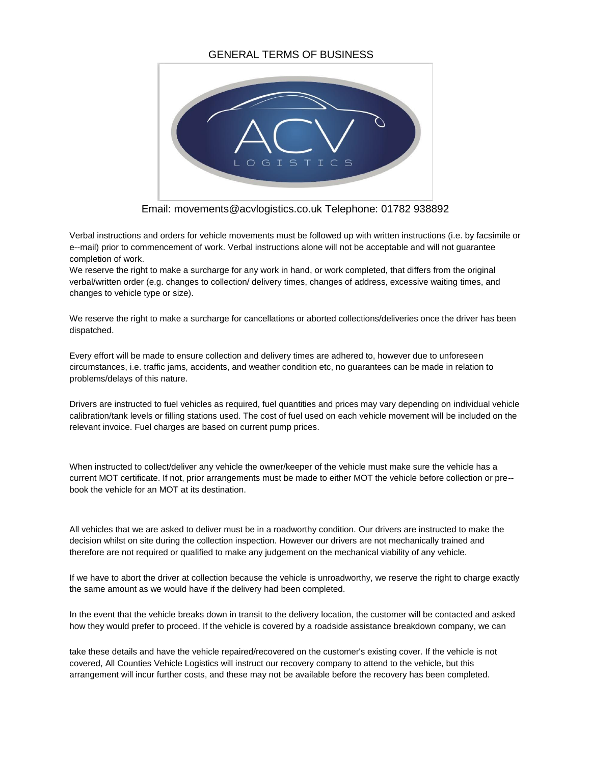## GENERAL TERMS OF BUSINESS



Email: movements@acvlogistics.co.uk Telephone: 01782 938892

Verbal instructions and orders for vehicle movements must be followed up with written instructions (i.e. by facsimile or e--mail) prior to commencement of work. Verbal instructions alone will not be acceptable and will not guarantee completion of work.

We reserve the right to make a surcharge for any work in hand, or work completed, that differs from the original verbal/written order (e.g. changes to collection/ delivery times, changes of address, excessive waiting times, and changes to vehicle type or size).

We reserve the right to make a surcharge for cancellations or aborted collections/deliveries once the driver has been dispatched.

Every effort will be made to ensure collection and delivery times are adhered to, however due to unforeseen circumstances, i.e. traffic jams, accidents, and weather condition etc, no guarantees can be made in relation to problems/delays of this nature.

Drivers are instructed to fuel vehicles as required, fuel quantities and prices may vary depending on individual vehicle calibration/tank levels or filling stations used. The cost of fuel used on each vehicle movement will be included on the relevant invoice. Fuel charges are based on current pump prices.

When instructed to collect/deliver any vehicle the owner/keeper of the vehicle must make sure the vehicle has a current MOT certificate. If not, prior arrangements must be made to either MOT the vehicle before collection or pre- book the vehicle for an MOT at its destination.

All vehicles that we are asked to deliver must be in a roadworthy condition. Our drivers are instructed to make the decision whilst on site during the collection inspection. However our drivers are not mechanically trained and therefore are not required or qualified to make any judgement on the mechanical viability of any vehicle.

If we have to abort the driver at collection because the vehicle is unroadworthy, we reserve the right to charge exactly the same amount as we would have if the delivery had been completed.

In the event that the vehicle breaks down in transit to the delivery location, the customer will be contacted and asked how they would prefer to proceed. If the vehicle is covered by a roadside assistance breakdown company, we can

take these details and have the vehicle repaired/recovered on the customer's existing cover. If the vehicle is not covered, All Counties Vehicle Logistics will instruct our recovery company to attend to the vehicle, but this arrangement will incur further costs, and these may not be available before the recovery has been completed.